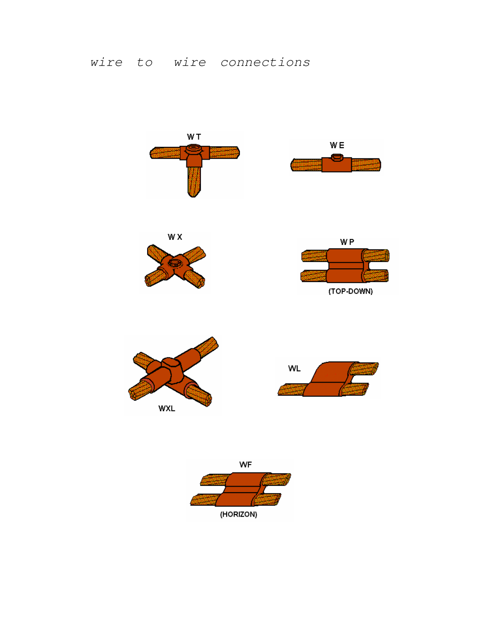

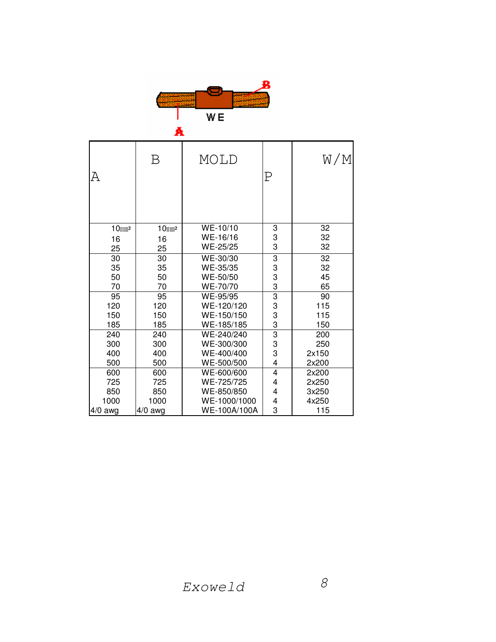

|                      | A                    |                      |                         |          |
|----------------------|----------------------|----------------------|-------------------------|----------|
| А                    | Β                    | MOLD                 | Р                       | W/M      |
| $10$ mm <sup>2</sup> | $10$ mm <sup>2</sup> | WE-10/10<br>WE-16/16 | 3<br>3                  | 32<br>32 |
| 16<br>25             | 16<br>25             | WE-25/25             | 3                       | 32       |
| 30                   | 30                   | WE-30/30             | 3                       | 32       |
| 35                   | 35                   | WE-35/35             | 3                       | 32       |
| 50<br>70             | 50<br>70             | WE-50/50<br>WE-70/70 | 3<br>3                  | 45<br>65 |
| 95                   | 95                   | WE-95/95             | 3                       | 90       |
| 120                  | 120                  | WE-120/120           |                         | 115      |
| 150                  | 150                  | WE-150/150           | 3<br>3                  | 115      |
| 185                  | 185                  | WE-185/185           | 3                       | 150      |
| 240                  | 240                  | WE-240/240           | $\overline{3}$          | 200      |
| 300                  | 300                  | WE-300/300           | 3                       | 250      |
| 400                  | 400                  | WE-400/400           | 3                       | 2x150    |
| 500                  | 500                  | WE-500/500           | $\overline{\mathbf{4}}$ | 2x200    |
| 600                  | 600                  | WE-600/600           | $\overline{4}$          | 2x200    |
| 725                  | 725                  | WE-725/725           | 4                       | 2x250    |
| 850                  | 850                  | WE-850/850           | 4                       | 3x250    |
| 1000                 | 1000                 | WE-1000/1000         | 4<br>3                  | 4x250    |
| 4/0 awg              | $4/0$ awg            | WE-100A/100A         |                         | 115      |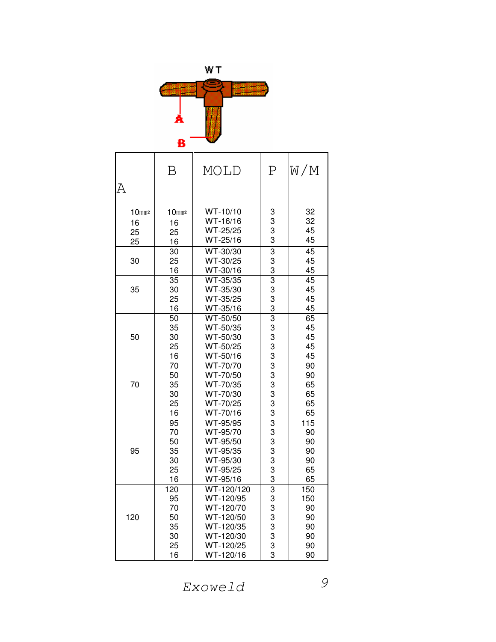

| Α           | Β                     | MOLD                                      | P                   | W∕M      |
|-------------|-----------------------|-------------------------------------------|---------------------|----------|
| $10$ mm $2$ | $10$ mm $2$           | WT-10/10                                  | 3                   | 32       |
| 16          | 16                    | WT-16/16                                  | 3                   | 32       |
| 25          | 25                    | WT-25/25                                  | 3                   | 45       |
| 25          | 16                    | WT-25/16                                  | 3                   | 45       |
|             | 30                    | WT-30/30                                  | 3                   | 45       |
| 30          | 25                    | WT-30/25                                  | 3                   | 45       |
|             | 16                    | WT-30/16                                  | 3                   | 45       |
|             | 35                    | WT-35/35                                  | $\overline{3}$      | 45       |
| 35          | 30                    | WT-35/30                                  | 3                   | 45       |
|             | 25                    | WT-35/25                                  | 3                   | 45       |
|             | 16                    | WT-35/16                                  | 3                   | 45       |
|             | 50                    | WT-50/50                                  | $\overline{3}$      | 65       |
|             | 35                    | WT-50/35                                  | 3                   | 45       |
| 50          | 30                    | WT-50/30                                  | 3                   | 45       |
|             | 25                    | WT-50/25                                  | 3                   | 45<br>45 |
|             | 16<br>$\overline{70}$ | WT-50/16<br>$\overline{\text{W}}$ T-70/70 | 3<br>$\overline{3}$ | 90       |
|             | 50                    | WT-70/50                                  | 3                   | 90       |
| 70          | 35                    | WT-70/35                                  | 3                   | 65       |
|             | 30                    | WT-70/30                                  | 3                   | 65       |
|             | 25                    | WT-70/25                                  | 3                   | 65       |
|             | 16                    | WT-70/16                                  | 3                   | 65       |
|             | 95                    | WT-95/95                                  | $\overline{3}$      | 115      |
|             | 70                    | WT-95/70                                  | 3                   | 90       |
|             | 50                    | WT-95/50                                  | 3                   | 90       |
| 95          | 35                    | WT-95/35                                  | 3                   | 90       |
|             | 30                    | WT-95/30                                  | 3                   | 90       |
|             | 25                    | WT-95/25                                  | 3                   | 65       |
|             | 16                    | WT-95/16                                  | 3                   | 65       |
|             | $\overline{120}$      | WT-120/120                                | $\overline{3}$      | 150      |
|             | 95<br>70              | WT-120/95<br>WT-120/70                    | 3<br>3              | 150      |
| 120         | 50                    | WT-120/50                                 | 3                   | 90<br>90 |
|             | 35                    | WT-120/35                                 | 3                   | 90       |
|             | 30                    | WT-120/30                                 |                     | 90       |
|             | 25                    | WT-120/25                                 | 3<br>3              | 90       |
|             | 16                    | WT-120/16                                 | 3                   | 90       |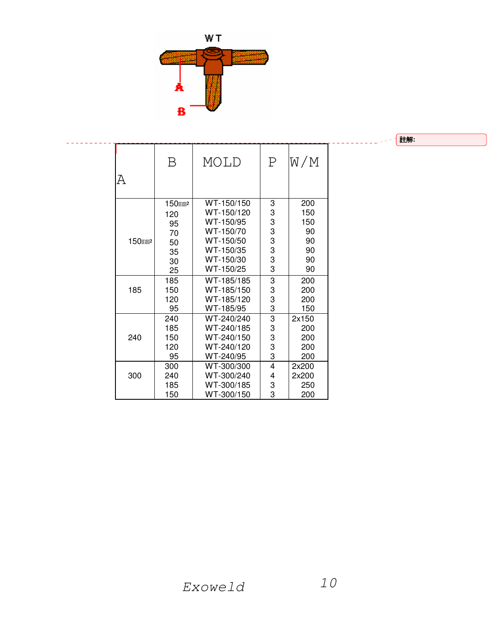

ုᇞ**:**

|                    | В            | MOLD       | $\mathbf P$    | W∕M   |
|--------------------|--------------|------------|----------------|-------|
| Α                  |              |            |                |       |
|                    | $150$ mm $2$ | WT-150/150 | 3              | 200   |
|                    | 120          | WT-150/120 | 3              | 150   |
|                    | 95           | WT-150/95  | 3              | 150   |
|                    | 70           | WT-150/70  | 3              | 90    |
| 150mm <sub>2</sub> | 50           | WT-150/50  | 3              | 90    |
|                    | 35           | WT-150/35  | 3<br>3         | 90    |
|                    | 30           | WT-150/30  |                | 90    |
|                    | 25           | WT-150/25  | 3              | 90    |
|                    | 185          | WT-185/185 | 3              | 200   |
| 185                | 150          | WT-185/150 | 3              | 200   |
|                    | 120          | WT-185/120 | 3              | 200   |
|                    | 95           | WT-185/95  | $\overline{3}$ | 150   |
|                    | 240          | WT-240/240 | $\overline{3}$ | 2x150 |
|                    | 185          | WT-240/185 | 3              | 200   |
| 240                | 150          | WT-240/150 | 3              | 200   |
|                    | 120          | WT-240/120 | 3              | 200   |
|                    | 95           | WT-240/95  | 3              | 200   |
|                    | 300          | WT-300/300 | 4              | 2x200 |
| 300                | 240          | WT-300/240 | 4              | 2x200 |
|                    | 185          | WT-300/185 | 3              | 250   |
|                    | 150          | WT-300/150 | 3              | 200   |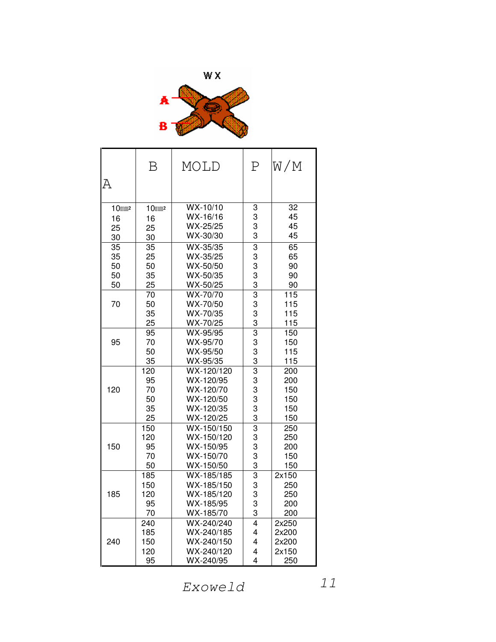



| Α           | Β           | MOLD                   | P                   | W∕M             |
|-------------|-------------|------------------------|---------------------|-----------------|
| $10$ mm $2$ | $10$ mm $2$ | $WX-10/10$             | 3                   | $\overline{32}$ |
| 16          | 16          | WX-16/16               | 3                   | 45              |
| 25          | 25          | WX-25/25               | 3                   | 45              |
| 30          | 30          | WX-30/30               | 3                   | 45              |
| 35          | 35          | WX-35/35               | $\overline{3}$      | 65              |
| 35          | 25          | WX-35/25               | 3                   | 65              |
| 50          | 50          | WX-50/50               | 3                   | 90              |
| 50          | 35          | WX-50/35               | 3                   | 90              |
| 50          | 25          | WX-50/25               | 3                   | 90              |
| 70          | 70<br>50    | WX-70/70<br>WX-70/50   | $\overline{3}$<br>3 | 115<br>115      |
|             | 35          | WX-70/35               | 3                   | 115             |
|             | 25          | WX-70/25               | 3                   | 115             |
|             | 95          | WX-95/95               | 3                   | 150             |
| 95          | 70          | WX-95/70               | 3                   | 150             |
|             | 50          | WX-95/50               | 3                   | 115             |
|             | 35          | WX-95/35               | $\frac{3}{3}$       | 115             |
|             | 120         | $WX-120/120$           |                     | 200             |
|             | 95          | WX-120/95              | 3                   | 200             |
| 120         | 70          | WX-120/70              | 3                   | 150             |
|             | 50          | WX-120/50              | 3                   | 150             |
|             | 35          | WX-120/35              | 3                   | 150             |
|             | 25          | WX-120/25              | 3                   | 150             |
|             | 150         | WX-150/150             | 3                   | 250             |
|             | 120         | WX-150/120             | 3                   | 250             |
| 150         | 95<br>70    | WX-150/95<br>WX-150/70 | 3<br>3              | 200<br>150      |
|             | 50          | WX-150/50              | 3                   | 150             |
|             | 185         | WX-185/185             | $\overline{3}$      | 2x150           |
|             | 150         | WX-185/150             | 3                   | 250             |
| 185         | 120         | WX-185/120             | 3                   | 250             |
|             | 95          | WX-185/95              | 3                   | 200             |
|             | 70          | WX-185/70              | 3                   | 200             |
|             | 240         | WX-240/240             | $\overline{4}$      | 2x250           |
|             | 185         | WX-240/185             | 4                   | 2x200           |
| 240         | 150         | WX-240/150             | 4                   | 2x200           |
|             | 120         | WX-240/120             | 4                   | 2x150           |
|             | 95          | WX-240/95              | 4                   | 250             |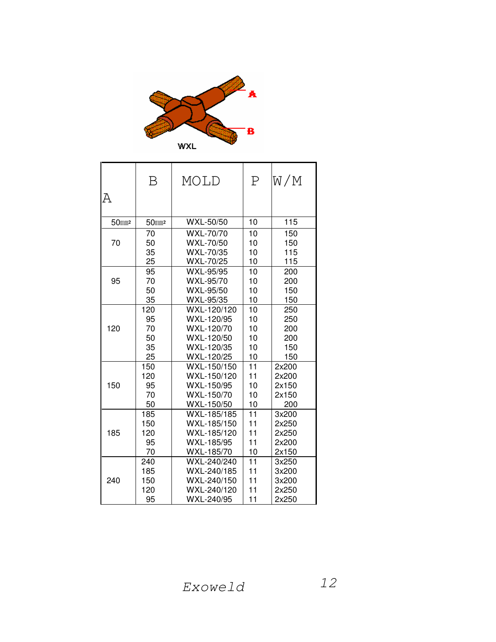

|                   | Β           | MOLD        | $\mathbf P$ | W/M   |
|-------------------|-------------|-------------|-------------|-------|
| Α                 |             |             |             |       |
|                   |             |             |             |       |
| 50mm <sub>2</sub> | $50$ mm $2$ | WXL-50/50   | 10          | 115   |
|                   | 70          | WXL-70/70   | 10          | 150   |
| 70                | 50          | WXL-70/50   | 10          | 150   |
|                   | 35          | WXL-70/35   | 10          | 115   |
|                   | 25          | WXL-70/25   | 10          | 115   |
|                   | 95          | WXL-95/95   | 10          | 200   |
| 95                | 70          | WXL-95/70   | 10          | 200   |
|                   | 50          | WXL-95/50   | 10          | 150   |
|                   | 35          | WXL-95/35   | 10          | 150   |
|                   | 120         | WXL-120/120 | 10          | 250   |
|                   | 95          | WXL-120/95  | 10          | 250   |
| 120               | 70          | WXL-120/70  | 10          | 200   |
|                   | 50          | WXL-120/50  | 10          | 200   |
|                   | 35          | WXL-120/35  | 10          | 150   |
|                   | 25          | WXL-120/25  | 10          | 150   |
|                   | 150         | WXL-150/150 | 11          | 2x200 |
|                   | 120         | WXL-150/120 | 11          | 2x200 |
| 150               | 95          | WXL-150/95  | 10          | 2x150 |
|                   | 70          | WXL-150/70  | 10          | 2x150 |
|                   | 50          | WXL-150/50  | 10          | 200   |
|                   | 185         | WXL-185/185 | 11          | 3x200 |
|                   | 150         | WXL-185/150 | 11          | 2x250 |
| 185               | 120         | WXL-185/120 | 11          | 2x250 |
|                   | 95          | WXL-185/95  | 11          | 2x200 |
|                   | 70          | WXL-185/70  | 10          | 2x150 |
|                   | 240         | WXL-240/240 | 11          | 3x250 |
|                   | 185         | WXL-240/185 | 11          | 3x200 |
| 240               | 150         | WXL-240/150 | 11          | 3x200 |
|                   | 120         | WXL-240/120 | 11          | 2x250 |
|                   | 95          | WXL-240/95  | 11          | 2x250 |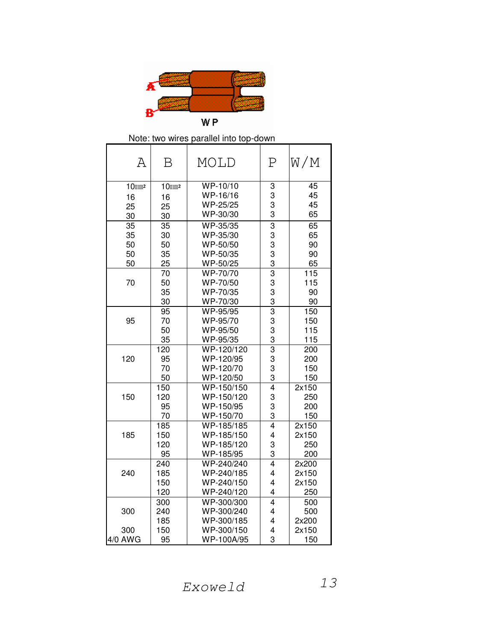

## Note: two wires parallel into top-down

| Α           | Β           | MOLD       | Ρ                       | W∕M   |
|-------------|-------------|------------|-------------------------|-------|
| $10$ mm $2$ | $10$ mm $2$ | WP-10/10   | 3                       | 45    |
| 16          | 16          | WP-16/16   | 3                       | 45    |
| 25          | 25          | WP-25/25   | 3                       | 45    |
| 30          | 30          | WP-30/30   | 3                       | 65    |
| 35          | 35          | WP-35/35   | 3                       | 65    |
| 35          | 30          | WP-35/30   | 3                       | 65    |
| 50          | 50          | WP-50/50   | 3                       | 90    |
| 50          | 35          | WP-50/35   | 3                       | 90    |
| 50          | 25          | WP-50/25   | 3                       | 65    |
|             | 70          | WP-70/70   | $\overline{3}$          | 115   |
| 70          | 50          | WP-70/50   | 3                       | 115   |
|             | 35          | WP-70/35   | 3                       | 90    |
|             | 30          | WP-70/30   | $\overline{3}$          | 90    |
|             | 95          | WP-95/95   | $\overline{3}$          | 150   |
| 95          | 70          | WP-95/70   | 3                       | 150   |
|             | 50          | WP-95/50   | 3                       | 115   |
|             | 35          | WP-95/35   | 3                       | 115   |
|             | 120         | WP-120/120 | 3                       | 200   |
| 120         | 95          | WP-120/95  | 3                       | 200   |
|             | 70          | WP-120/70  | 3                       | 150   |
|             | 50          | WP-120/50  | 3                       | 150   |
|             | 150         | WP-150/150 | $\overline{4}$          | 2x150 |
| 150         | 120         | WP-150/120 | 3                       | 250   |
|             | 95          | WP-150/95  | 3                       | 200   |
|             | 70          | WP-150/70  | 3                       | 150   |
|             | 185         | WP-185/185 | 4                       | 2x150 |
| 185         | 150         | WP-185/150 | 4                       | 2x150 |
|             | 120         | WP-185/120 | 3                       | 250   |
|             | 95          | WP-185/95  | 3                       | 200   |
|             | 240         | WP-240/240 | $\overline{4}$          | 2x200 |
| 240         | 185         | WP-240/185 | 4                       | 2x150 |
|             | 150         | WP-240/150 | 4                       | 2x150 |
|             | 120         | WP-240/120 | 4                       | 250   |
|             | 300         | WP-300/300 | $\overline{\mathbf{4}}$ | 500   |
| 300         | 240         | WP-300/240 | $\overline{4}$          | 500   |
|             | 185         | WP-300/185 | 4                       | 2x200 |
| 300         | 150         | WP-300/150 | 4                       | 2x150 |
| 4/0 AWG     | 95          | WP-100A/95 | 3                       | 150   |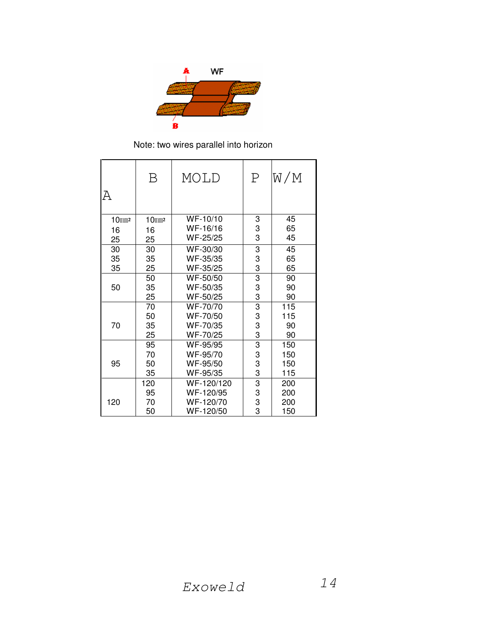

Note: two wires parallel into horizon

|                      | Β           | MOLD       | $\mathbf P$    | W/M |
|----------------------|-------------|------------|----------------|-----|
| А                    |             |            |                |     |
| $10$ mm <sup>2</sup> | $10$ mm $2$ | WF-10/10   | 3              | 45  |
| 16                   | 16          | WF-16/16   | 3              | 65  |
| 25                   | 25          | WF-25/25   | 3              | 45  |
| 30                   | 30          | WF-30/30   | 3              | 45  |
| 35                   | 35          | WF-35/35   |                | 65  |
| 35                   | 25          | WF-35/25   | $\frac{3}{3}$  | 65  |
|                      | 50          | WF-50/50   |                | 90  |
| 50                   | 35          | WF-50/35   | 3<br>3         | 90  |
|                      | 25          | WF-50/25   |                | 90  |
|                      | 70          | WF-70/70   | $\overline{3}$ | 115 |
|                      | 50          | WF-70/50   | 3<br>3<br>3    | 115 |
| 70                   | 35          | WF-70/35   |                | 90  |
|                      | 25          | WF-70/25   |                | 90  |
|                      | 95          | WF-95/95   |                | 150 |
|                      | 70          | WF-95/70   |                | 150 |
| 95                   | 50          | WF-95/50   | $\frac{3}{3}$  | 150 |
|                      | 35          | WF-95/35   |                | 115 |
|                      | 120         | WF-120/120 | 3              | 200 |
|                      | 95          | WF-120/95  | 3              | 200 |
| 120                  | 70          | WF-120/70  | 3<br>3         | 200 |
|                      | 50          | WF-120/50  |                | 150 |